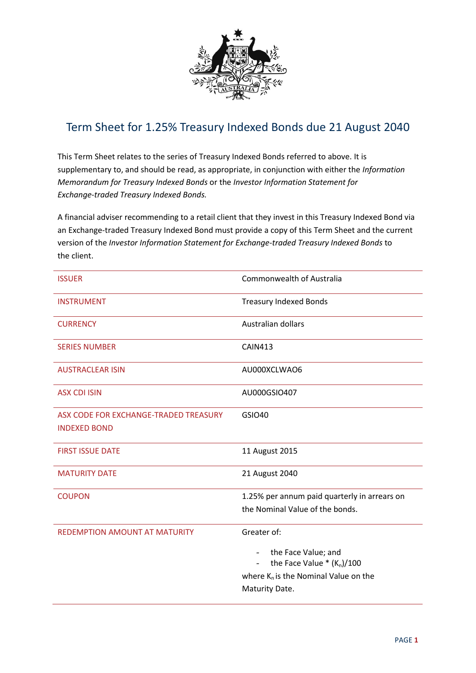

## Term Sheet for 1.25% Treasury Indexed Bonds due 21 August 2040

This Term Sheet relates to the series of Treasury Indexed Bonds referred to above. It is supplementary to, and should be read, as appropriate, in conjunction with either the *Information Memorandum for Treasury Indexed Bonds* or the *Investor Information Statement for Exchange-traded Treasury Indexed Bonds.*

A financial adviser recommending to a retail client that they invest in this Treasury Indexed Bond via an Exchange-traded Treasury Indexed Bond must provide a copy of this Term Sheet and the current version of the *Investor Information Statement for Exchange-traded Treasury Indexed Bonds* to the client.

| <b>ISSUER</b>                                                | <b>Commonwealth of Australia</b>                        |
|--------------------------------------------------------------|---------------------------------------------------------|
| <b>INSTRUMENT</b>                                            | <b>Treasury Indexed Bonds</b>                           |
| <b>CURRENCY</b>                                              | Australian dollars                                      |
| <b>SERIES NUMBER</b>                                         | <b>CAIN413</b>                                          |
| <b>AUSTRACLEAR ISIN</b>                                      | AU000XCLWAO6                                            |
| <b>ASX CDI ISIN</b>                                          | AU000GSIO407                                            |
| ASX CODE FOR EXCHANGE-TRADED TREASURY<br><b>INDEXED BOND</b> | <b>GSIO40</b>                                           |
| <b>FIRST ISSUE DATE</b>                                      | 11 August 2015                                          |
| <b>MATURITY DATE</b>                                         | 21 August 2040                                          |
| <b>COUPON</b>                                                | 1.25% per annum paid quarterly in arrears on            |
|                                                              | the Nominal Value of the bonds.                         |
| <b>REDEMPTION AMOUNT AT MATURITY</b>                         | Greater of:                                             |
|                                                              | the Face Value; and<br>$\overline{\phantom{a}}$         |
|                                                              | the Face Value $*(K_n)/100$<br>$\overline{\phantom{0}}$ |
|                                                              | where $K_n$ is the Nominal Value on the                 |
|                                                              | Maturity Date.                                          |